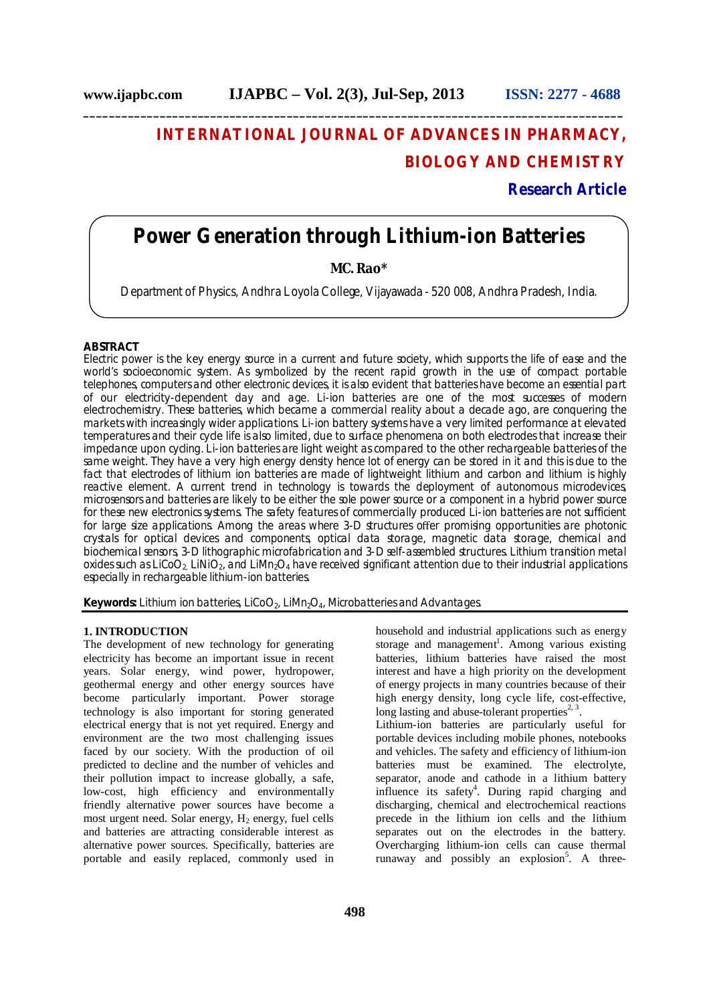# **INTERNATIONAL JOURNAL OF ADVANCES IN PHARMACY, BIOLOGY AND CHEMISTRY**

**Research Article**

## **Power Generation through Lithium-ion Batteries**

### **MC. Rao\***

Department of Physics, Andhra Loyola College, Vijayawada - 520 008, Andhra Pradesh, India.

#### **ABSTRACT**

Electric power is the key energy source in a current and future society, which supports the life of ease and the world's socioeconomic system. As symbolized by the recent rapid growth in the use of compact portable telephones, computers and other electronic devices, it is also evident that batteries have become an essential part of our electricity-dependent day and age. Li-ion batteries are one of the most successes of modern electrochemistry. These batteries, which became a commercial reality about a decade ago, are conquering the markets with increasingly wider applications. Li-ion battery systems have a very limited performance at elevated temperatures and their cycle life is also limited, due to surface phenomena on both electrodes that increase their impedance upon cycling. Li-ion batteries are light weight as compared to the other rechargeable batteries of the same weight. They have a very high energy density hence lot of energy can be stored in it and this is due to the fact that electrodes of lithium ion batteries are made of lightweight lithium and carbon and lithium is highly reactive element. A current trend in technology is towards the deployment of autonomous microdevices, microsensors and batteries are likely to be either the sole power source or a component in a hybrid power source for these new electronics systems. The safety features of commercially produced Li-ion batteries are not sufficient for large size applications. Among the areas where 3-D structures offer promising opportunities are photonic crystals for optical devices and components, optical data storage, magnetic data storage, chemical and biochemical sensors, 3-D lithographic microfabrication and 3-D self-assembled structures. Lithium transition metal oxides such as LiCoO<sub>2</sub>, LiNiO<sub>2</sub>, and LiMn<sub>2</sub>O<sub>4</sub> have received significant attention due to their industrial applications especially in rechargeable lithium-ion batteries.

**Keywords:** Lithium ion batteries,  $LiCoO<sub>2</sub>$ ,  $LiMn<sub>2</sub>O<sub>4</sub>$ , Microbatteries and Advantages.

#### **1. INTRODUCTION**

The development of new technology for generating electricity has become an important issue in recent years. Solar energy, wind power, hydropower, geothermal energy and other energy sources have become particularly important. Power storage technology is also important for storing generated electrical energy that is not yet required. Energy and environment are the two most challenging issues faced by our society. With the production of oil predicted to decline and the number of vehicles and their pollution impact to increase globally, a safe, low-cost, high efficiency and environmentally friendly alternative power sources have become a most urgent need. Solar energy,  $H_2$  energy, fuel cells and batteries are attracting considerable interest as alternative power sources. Specifically, batteries are portable and easily replaced, commonly used in

storage and management<sup>1</sup>. Among various existing batteries, lithium batteries have raised the most interest and have a high priority on the development of energy projects in many countries because of their high energy density, long cycle life, cost-effective, long lasting and abuse-tolerant properties<sup>2, 3</sup>. Lithium-ion batteries are particularly useful for portable devices including mobile phones, notebooks and vehicles. The safety and efficiency of lithium-ion batteries must be examined. The electrolyte, separator, anode and cathode in a lithium battery influence its safety<sup>4</sup>. During rapid charging and discharging, chemical and electrochemical reactions precede in the lithium ion cells and the lithium separates out on the electrodes in the battery. Overcharging lithium-ion cells can cause thermal runaway and possibly an explosion<sup>5</sup>. A three-

household and industrial applications such as energy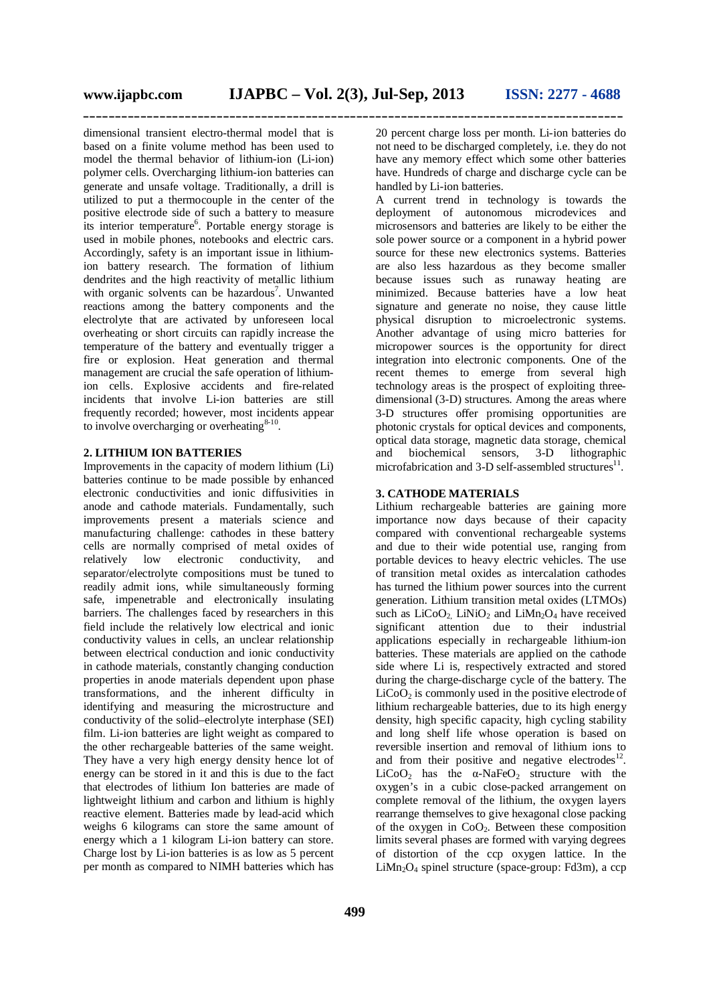dimensional transient electro-thermal model that is based on a finite volume method has been used to model the thermal behavior of lithium-ion (Li-ion) polymer cells. Overcharging lithium-ion batteries can generate and unsafe voltage. Traditionally, a drill is utilized to put a thermocouple in the center of the positive electrode side of such a battery to measure its interior temperature<sup>6</sup>. Portable energy storage is used in mobile phones, notebooks and electric cars. Accordingly, safety is an important issue in lithiumion battery research. The formation of lithium dendrites and the high reactivity of metallic lithium with organic solvents can be hazardous<sup>7</sup>. Unwanted reactions among the battery components and the electrolyte that are activated by unforeseen local overheating or short circuits can rapidly increase the temperature of the battery and eventually trigger a fire or explosion. Heat generation and thermal management are crucial the safe operation of lithiumion cells. Explosive accidents and fire-related incidents that involve Li-ion batteries are still frequently recorded; however, most incidents appear to involve overcharging or overheating $8-10$ .

#### **2. LITHIUM ION BATTERIES**

Improvements in the capacity of modern lithium (Li) batteries continue to be made possible by enhanced electronic conductivities and ionic diffusivities in anode and cathode materials. Fundamentally, such improvements present a materials science and manufacturing challenge: cathodes in these battery cells are normally comprised of metal oxides of relatively low electronic conductivity, and separator/electrolyte compositions must be tuned to readily admit ions, while simultaneously forming safe, impenetrable and electronically insulating barriers. The challenges faced by researchers in this field include the relatively low electrical and ionic conductivity values in cells, an unclear relationship between electrical conduction and ionic conductivity in cathode materials, constantly changing conduction properties in anode materials dependent upon phase transformations, and the inherent difficulty in identifying and measuring the microstructure and conductivity of the solid–electrolyte interphase (SEI) film. Li-ion batteries are light weight as compared to the other rechargeable batteries of the same weight. They have a very high energy density hence lot of energy can be stored in it and this is due to the fact that electrodes of lithium Ion batteries are made of lightweight lithium and carbon and lithium is highly reactive element. Batteries made by lead-acid which weighs 6 kilograms can store the same amount of energy which a 1 kilogram Li-ion battery can store. Charge lost by Li-ion batteries is as low as 5 percent per month as compared to NIMH batteries which has

20 percent charge loss per month. Li-ion batteries do not need to be discharged completely, i.e. they do not have any memory effect which some other batteries have. Hundreds of charge and discharge cycle can be handled by Li-ion batteries.

A current trend in technology is towards the deployment of autonomous microdevices and microsensors and batteries are likely to be either the sole power source or a component in a hybrid power source for these new electronics systems. Batteries are also less hazardous as they become smaller because issues such as runaway heating are minimized. Because batteries have a low heat signature and generate no noise, they cause little physical disruption to microelectronic systems. Another advantage of using micro batteries for micropower sources is the opportunity for direct integration into electronic components. One of the recent themes to emerge from several high technology areas is the prospect of exploiting threedimensional (3-D) structures. Among the areas where 3-D structures offer promising opportunities are photonic crystals for optical devices and components, optical data storage, magnetic data storage, chemical and biochemical sensors, 3-D lithographic microfabrication and  $3-D$  self-assembled structures<sup>11</sup>.

#### **3. CATHODE MATERIALS**

Lithium rechargeable batteries are gaining more importance now days because of their capacity compared with conventional rechargeable systems and due to their wide potential use, ranging from portable devices to heavy electric vehicles. The use of transition metal oxides as intercalation cathodes has turned the lithium power sources into the current generation. Lithium transition metal oxides (LTMOs) such as  $LiCoO<sub>2</sub>$ .  $LiNiO<sub>2</sub>$  and  $LiMn<sub>2</sub>O<sub>4</sub>$  have received significant attention due to their industrial applications especially in rechargeable lithium-ion batteries. These materials are applied on the cathode side where Li is, respectively extracted and stored during the charge-discharge cycle of the battery. The  $LiCoO<sub>2</sub>$  is commonly used in the positive electrode of lithium rechargeable batteries, due to its high energy density, high specific capacity, high cycling stability and long shelf life whose operation is based on reversible insertion and removal of lithium ions to and from their positive and negative electrodes $^{12}$ . LiCoO<sub>2</sub> has the  $\alpha$ -NaFeO<sub>2</sub> structure with the oxygen's in a cubic close-packed arrangement on complete removal of the lithium, the oxygen layers rearrange themselves to give hexagonal close packing of the oxygen in CoO2. Between these composition limits several phases are formed with varying degrees of distortion of the ccp oxygen lattice. In the  $LiMn<sub>2</sub>O<sub>4</sub>$  spinel structure (space-group: Fd3m), a ccp